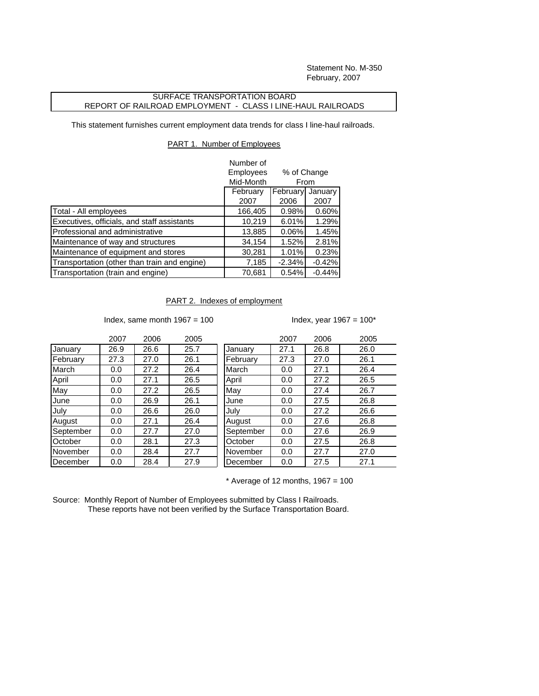Statement No. M-350 February, 2007

## SURFACE TRANSPORTATION BOARD REPORT OF RAILROAD EMPLOYMENT - CLASS I LINE-HAUL RAILROADS

This statement furnishes current employment data trends for class I line-haul railroads.

## PART 1. Number of Employees

|                                              | Number of<br>Employees<br>% of Change<br>Mid-Month<br>From |                  |                 |
|----------------------------------------------|------------------------------------------------------------|------------------|-----------------|
|                                              | February<br>2007                                           | February<br>2006 | January<br>2007 |
| Total - All employees                        | 166,405                                                    | 0.98%            | 0.60%           |
| Executives, officials, and staff assistants  | 10,219                                                     | 6.01%            | 1.29%           |
| Professional and administrative              | 13,885                                                     | 0.06%            | 1.45%           |
| Maintenance of way and structures            | 34,154                                                     | 1.52%            | 2.81%           |
| Maintenance of equipment and stores          | 30,281                                                     | 1.01%            | 0.23%           |
| Transportation (other than train and engine) | 7,185                                                      | $-2.34%$         | $-0.42%$        |
| Transportation (train and engine)            | 70,681                                                     | 0.54%            | $-0.44%$        |

## PART 2. Indexes of employment

Index, same month  $1967 = 100$  Index, year  $1967 = 100^*$ 

|           | 2007 | 2006 | 2005 |           | 2007 | 2006 | 2009 |
|-----------|------|------|------|-----------|------|------|------|
| January   | 26.9 | 26.6 | 25.7 | January   | 27.1 | 26.8 | 26.0 |
| February  | 27.3 | 27.0 | 26.1 | February  | 27.3 | 27.0 | 26.1 |
| March     | 0.0  | 27.2 | 26.4 | March     | 0.0  | 27.1 | 26.4 |
| April     | 0.0  | 27.1 | 26.5 | April     | 0.0  | 27.2 | 26.5 |
| May       | 0.0  | 27.2 | 26.5 | May       | 0.0  | 27.4 | 26.7 |
| June      | 0.0  | 26.9 | 26.1 | June      | 0.0  | 27.5 | 26.8 |
| July      | 0.0  | 26.6 | 26.0 | July      | 0.0  | 27.2 | 26.6 |
| August    | 0.0  | 27.1 | 26.4 | August    | 0.0  | 27.6 | 26.8 |
| September | 0.0  | 27.7 | 27.0 | September | 0.0  | 27.6 | 26.9 |
| October   | 0.0  | 28.1 | 27.3 | October   | 0.0  | 27.5 | 26.8 |
| November  | 0.0  | 28.4 | 27.7 | November  | 0.0  | 27.7 | 27.0 |
| December  | 0.0  | 28.4 | 27.9 | December  | 0.0  | 27.5 | 27.1 |

| 2007 | 2006 | 2005 |           | 2007 | 2006 | 2005 |
|------|------|------|-----------|------|------|------|
| 26.9 | 26.6 | 25.7 | January   | 27.1 | 26.8 | 26.0 |
| 27.3 | 27.0 | 26.1 | February  | 27.3 | 27.0 | 26.1 |
| 0.0  | 27.2 | 26.4 | March     | 0.0  | 27.1 | 26.4 |
| 0.0  | 27.1 | 26.5 | April     | 0.0  | 27.2 | 26.5 |
| 0.0  | 27.2 | 26.5 | May       | 0.0  | 27.4 | 26.7 |
| 0.0  | 26.9 | 26.1 | June      | 0.0  | 27.5 | 26.8 |
| 0.0  | 26.6 | 26.0 | July      | 0.0  | 27.2 | 26.6 |
| 0.0  | 27.1 | 26.4 | August    | 0.0  | 27.6 | 26.8 |
| 0.0  | 27.7 | 27.0 | September | 0.0  | 27.6 | 26.9 |
| 0.0  | 28.1 | 27.3 | October   | 0.0  | 27.5 | 26.8 |
| 0.0  | 28.4 | 27.7 | November  | 0.0  | 27.7 | 27.0 |
| 0.0  | 28.4 | 27.9 | December  | 0.0  | 27.5 | 27.1 |

 $*$  Average of 12 months, 1967 = 100

Source: Monthly Report of Number of Employees submitted by Class I Railroads. These reports have not been verified by the Surface Transportation Board.